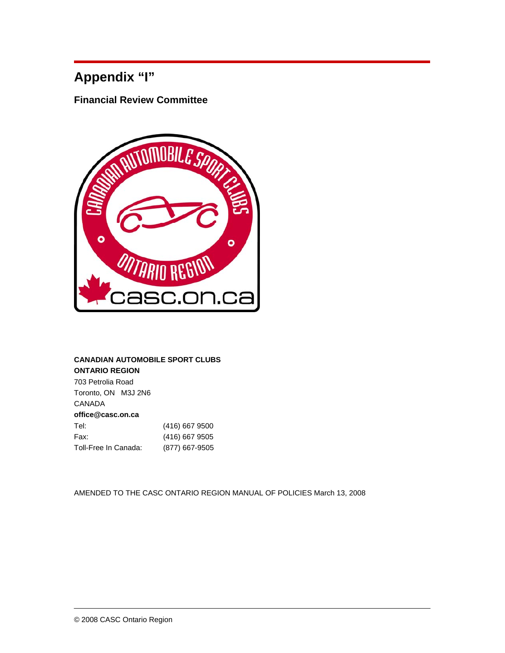# **Appendix "I"**

**Financial Review Committee** 



## **CANADIAN AUTOMOBILE SPORT CLUBS ONTARIO REGION**

703 Petrolia Road Toronto, ON M3J 2N6 CANADA **office@casc.on.ca**  Tel: (416) 667 9500 Fax: (416) 667 9505 Toll-Free In Canada: (877) 667-9505

AMENDED TO THE CASC ONTARIO REGION MANUAL OF POLICIES March 13, 2008